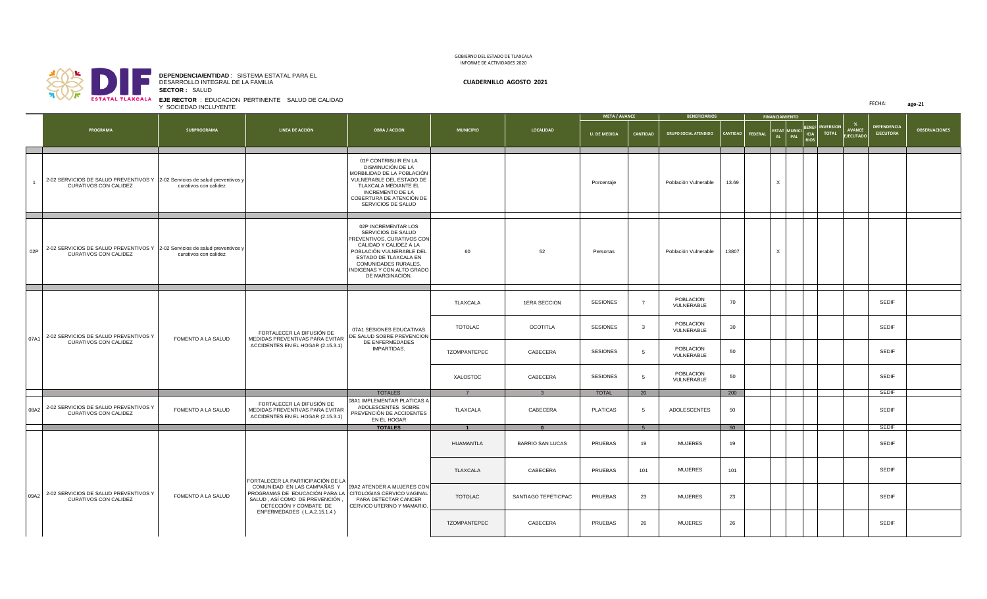r **Tart** 

**SECTOR :** SALUD **DEPENDENCIA/ENTIDAD** : SISTEMA ESTATAL PARA EL DESARROLLO INTEGRAL DE LA FAMILIA **CUADERNILLO AGOSTO 2021**

**EJE RECTOR** : EDUCACION PERTINENTE SALUD DE CALIDAD Y SOCIEDAD INCLUYENTE

|                |                                                                                                      | Y SOCIEDAD INCLUYENTE | EJE RECTOR : EDUCACION PERTINENTE SALUD DE CALIDAD                                                                                                                                                                                                    |                                                                                                                                                                                                                                 |                  |                         |                      |                |                              |                  |                       |                                                    |  |                                   | FECHA:                                 | ago-21               |
|----------------|------------------------------------------------------------------------------------------------------|-----------------------|-------------------------------------------------------------------------------------------------------------------------------------------------------------------------------------------------------------------------------------------------------|---------------------------------------------------------------------------------------------------------------------------------------------------------------------------------------------------------------------------------|------------------|-------------------------|----------------------|----------------|------------------------------|------------------|-----------------------|----------------------------------------------------|--|-----------------------------------|----------------------------------------|----------------------|
|                |                                                                                                      |                       |                                                                                                                                                                                                                                                       |                                                                                                                                                                                                                                 |                  |                         | <b>META / AVANCE</b> |                | <b>BENEFICIARIOS</b>         |                  | <b>FINANCIAMIENTO</b> |                                                    |  |                                   |                                        |                      |
|                | <b>PROGRAMA</b>                                                                                      | <b>SUBPROGRAMA</b>    | LINEA DE ACCIÓN                                                                                                                                                                                                                                       | <b>OBRA / ACCION</b>                                                                                                                                                                                                            | <b>MUNICIPIO</b> | <b>LOCALIDAD</b>        | <b>U. DE MEDIDA</b>  | CANTIDAD       | <b>GRUPO SOCIAL ATENDIDO</b> | CANTIDAD FEDERAL | AL                    | ESTAT MUNICI BENEF INVERSION<br>PAL<br><b>RIOS</b> |  | <b>AVANCE</b><br><b>EJECUTADO</b> | <b>DEPENDENCIA</b><br><b>EJECUTORA</b> | <b>OBSERVACIONES</b> |
| $\overline{1}$ | 2-02 SERVICIOS DE SALUD PREVENTIVOS Y 2-02 Servicios de salud preventivos y<br>CURATIVOS CON CALIDEZ | curativos con calidez |                                                                                                                                                                                                                                                       | 01F CONTRIBUIR EN LA<br>DISMINUCIÓN DE LA<br>MORBILIDAD DE LA POBLACIÓN<br>VULNERABLE DEL ESTADO DE<br>TLAXCALA MEDIANTE EL<br><b>INCREMENTO DE LA</b><br>COBERTURA DE ATENCIÓN DE<br>SERVICIOS DE SALUD                        |                  |                         | Porcentaje           |                | Población Vulnerable         | 13.69            | $\times$              |                                                    |  |                                   |                                        |                      |
| 02P            | 2-02 SERVICIOS DE SALUD PREVENTIVOS Y 2-02 Servicios de salud preventivos y<br>CURATIVOS CON CALIDEZ | curativos con calidez |                                                                                                                                                                                                                                                       | 02P INCREMENTAR LOS<br>SERVICIOS DE SALUD<br>PREVENTIVOS, CURATIVOS CON<br>CALIDAD Y CALIDEZ A LA<br>POBLACIÓN VULNERABLE DEL<br>ESTADO DE TLAXCALA EN<br>COMUNIDADES RURALES,<br>INDIGENAS Y CON ALTO GRADO<br>DE MARGINACIÓN. | 60               | 52                      | Personas             |                | Población Vulnerable         | 13807            | $\times$              |                                                    |  |                                   |                                        |                      |
|                | 07A1 2-02 SERVICIOS DE SALUD PREVENTIVOS Y<br>CURATIVOS CON CALIDEZ                                  | FOMENTO A LA SALUD    | FORTALECER LA DIFUSIÓN DE<br>MEDIDAS PREVENTIVAS PARA EVITAR<br>ACCIDENTES EN EL HOGAR (2.15.3.1)                                                                                                                                                     | 07A1 SESIONES EDUCATIVAS<br>DE SALUD SOBRE PREVENCION<br>DE ENFERMEDADES<br>IMPARTIDAS.                                                                                                                                         | TLAXCALA         | 1ERA SECCION            | <b>SESIONES</b>      | $\overline{7}$ | POBLACION<br>VULNERABLE      | 70               |                       |                                                    |  |                                   | SEDIF                                  |                      |
|                |                                                                                                      |                       |                                                                                                                                                                                                                                                       |                                                                                                                                                                                                                                 | <b>TOTOLAC</b>   | <b>OCOTITLA</b>         | <b>SESIONES</b>      | $\mathbf{3}$   | POBLACION<br>VULNERABLE      | 30               |                       |                                                    |  |                                   | <b>SEDIF</b>                           |                      |
|                |                                                                                                      |                       |                                                                                                                                                                                                                                                       |                                                                                                                                                                                                                                 | TZOMPANTEPEC     | CABECERA                | <b>SESIONES</b>      | 5              | POBLACION<br>VULNERABLE      | 50               |                       |                                                    |  |                                   | <b>SEDIF</b>                           |                      |
|                |                                                                                                      |                       |                                                                                                                                                                                                                                                       |                                                                                                                                                                                                                                 | XALOSTOC         | CABECERA                | SESIONES             | 5              | POBLACION<br>VULNERABLE      | 50               |                       |                                                    |  |                                   | <b>SEDIF</b>                           |                      |
|                |                                                                                                      |                       |                                                                                                                                                                                                                                                       | <b>TOTALES</b>                                                                                                                                                                                                                  |                  |                         | <b>TOTAL</b>         | 20             |                              | 200              |                       |                                                    |  |                                   | SEDIF                                  |                      |
|                | 08A2 2-02 SERVICIOS DE SALUD PREVENTIVOS Y<br>CURATIVOS CON CALIDEZ                                  | FOMENTO A LA SALUD    | FORTALECER LA DIFUSIÓN DE<br>MEDIDAS PREVENTIVAS PARA EVITAR<br>ACCIDENTES EN EL HOGAR (2.15.3.1)                                                                                                                                                     | 08A1 IMPLEMENTAR PLATICAS A<br>ADOLESCENTES SOBRE<br>PREVENCIÓN DE ACCIDENTES<br>EN EL HOGAR                                                                                                                                    | TLAXCALA         | CABECERA                | <b>PLATICAS</b>      | 5              | ADOLESCENTES                 | 50               |                       |                                                    |  |                                   | <b>SEDIF</b>                           |                      |
|                |                                                                                                      |                       |                                                                                                                                                                                                                                                       | <b>TOTALES</b>                                                                                                                                                                                                                  | $\mathbf{1}$     |                         |                      | 5              |                              | 50               |                       |                                                    |  |                                   | <b>SEDIF</b>                           |                      |
|                |                                                                                                      |                       |                                                                                                                                                                                                                                                       |                                                                                                                                                                                                                                 | HUAMANTLA        | <b>BARRIO SAN LUCAS</b> | PRUEBAS              | 19             | <b>MUJERES</b>               | 19               |                       |                                                    |  |                                   | SEDIF                                  |                      |
|                |                                                                                                      |                       | FORTALECER LA PARTICIPACIÓN DE LA<br>COMUNIDAD EN LAS CAMPAÑAS Y   09A2 ATENDER A MUJERES CON<br>PROGRAMAS DE EDUCACIÓN PARA LA CITOLOGIAS CERVICO VAGINAL<br>SALUD, ASÍ COMO DE PREVENCIÓN,<br>DETECCIÓN Y COMBATE DE<br>ENFERMEDADES (L.A.2.15.1.4) | PARA DETECTAR CANCER<br>CERVICO UTERINO Y MAMARIO.                                                                                                                                                                              | TLAXCALA         | CABECERA                | PRUEBAS              | 101            | <b>MUJERES</b>               | 101              |                       |                                                    |  |                                   | SEDIF                                  |                      |
|                | 09A2 2-02 SERVICIOS DE SALUD PREVENTIVOS Y<br>CURATIVOS CON CALIDEZ                                  | FOMENTO A LA SALUD    |                                                                                                                                                                                                                                                       |                                                                                                                                                                                                                                 | TOTOLAC          | SANTIAGO TEPETICPAC     | PRUEBAS              | 23             | <b>MUJERES</b>               | 23               |                       |                                                    |  |                                   | SEDIF                                  |                      |
|                |                                                                                                      |                       |                                                                                                                                                                                                                                                       |                                                                                                                                                                                                                                 | TZOMPANTEPEC     | CABECERA                | PRUEBAS              | 26             | <b>MUJERES</b>               | 26               |                       |                                                    |  |                                   | SEDIF                                  |                      |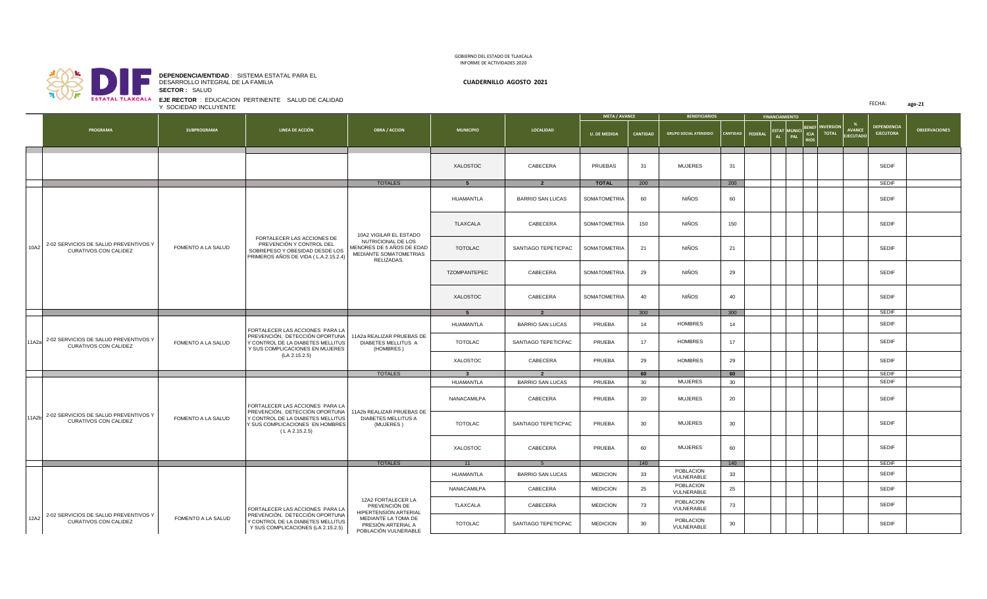## D н. **SECTOR :** SALUD **EJE RECTOR** : EDUCACION PERTINENTE SALUD DE CALIDAD

**DEPENDENCIA/ENTIDAD** : SISTEMA ESTATAL PARA EL DESARROLLO INTEGRAL DE LA FAMILIA **CUADERNILLO AGOSTO 2021**

FECHA: **ago-21**

|      |                                                                             | Y SOCIEDAD INCLUYENTE |                                                                                                                                                             |                                                                                                                   |                                      | FECHA:<br>ago-21                                   |                      |                 |                                |          |                  |                       |                                         |                        |                                   |                                        |                      |
|------|-----------------------------------------------------------------------------|-----------------------|-------------------------------------------------------------------------------------------------------------------------------------------------------------|-------------------------------------------------------------------------------------------------------------------|--------------------------------------|----------------------------------------------------|----------------------|-----------------|--------------------------------|----------|------------------|-----------------------|-----------------------------------------|------------------------|-----------------------------------|----------------------------------------|----------------------|
|      |                                                                             |                       |                                                                                                                                                             |                                                                                                                   |                                      |                                                    | <b>META / AVANCE</b> |                 | <b>BENEFICIARIOS</b>           |          |                  | <b>FINANCIAMIENTO</b> |                                         |                        |                                   |                                        |                      |
|      | PROGRAMA                                                                    | <b>SUBPROGRAMA</b>    | LINEA DE ACCIÓN                                                                                                                                             | <b>OBRA / ACCION</b>                                                                                              | <b>MUNICIPIO</b>                     | <b>LOCALIDAD</b>                                   | <b>U. DE MEDIDA</b>  | <b>CANTIDAD</b> | <b>GRUPO SOCIAL ATENDIDO</b>   |          | CANTIDAD FEDERAL |                       | ESTAT MUNICI BENEF TOTAL<br><b>RIOS</b> | <b>BENEF INVERSION</b> | <b>AVANCE</b><br><b>EJECUTADO</b> | <b>DEPENDENCIA</b><br><b>EJECUTORA</b> | <b>OBSERVACIONES</b> |
|      |                                                                             |                       |                                                                                                                                                             |                                                                                                                   | XALOSTOC                             | CABECERA                                           | PRUEBAS              | 31              | <b>MUJERES</b>                 | 31       |                  |                       |                                         |                        |                                   | <b>SEDIF</b>                           |                      |
|      |                                                                             |                       |                                                                                                                                                             | <b>TOTALES</b>                                                                                                    |                                      |                                                    | <b>TOTAL</b>         | 200             |                                | 200      |                  |                       |                                         |                        |                                   | <b>SEDIF</b>                           |                      |
|      |                                                                             |                       |                                                                                                                                                             | 10A2 VIGILAR EL ESTADO<br>NUTRICIONAL DE LOS<br>MENORES DE 5 AÑOS DE EDAD<br>MEDIANTE SOMATOMETRIAS<br>RELIZADAS. | HUAMANTLA                            | <b>BARRIO SAN LUCAS</b>                            | SOMATOMETRIA         | 60              | NIÑOS                          | 60       |                  |                       |                                         |                        |                                   | <b>SEDIF</b>                           |                      |
|      |                                                                             |                       |                                                                                                                                                             |                                                                                                                   | TLAXCALA                             | CABECERA                                           | SOMATOMETRIA         | 150             | NIÑOS                          | 150      |                  |                       |                                         |                        |                                   | <b>SEDIF</b>                           |                      |
| 10A2 | 2-02 SERVICIOS DE SALUD PREVENTIVOS Y<br>CURATIVOS CON CALIDEZ              | FOMENTO A LA SALUD    | FORTALECER LAS ACCIONES DE<br>PREVENCIÓN Y CONTROL DEL<br>SOBREPESO Y OBESIDAD DESDE LOS<br>PRIMEROS AÑOS DE VIDA (L.A.2.15.2.4)                            |                                                                                                                   | <b>TOTOLAC</b>                       | SANTIAGO TEPETICPAC                                | SOMATOMETRIA         | 21              | NIÑOS                          | 21       |                  |                       |                                         |                        |                                   | SEDIF                                  |                      |
|      |                                                                             |                       |                                                                                                                                                             |                                                                                                                   | TZOMPANTEPEC                         | CABECERA                                           | SOMATOMETRIA         | 29              | NIÑOS                          | 29       |                  |                       |                                         |                        |                                   | <b>SEDIF</b>                           |                      |
|      |                                                                             |                       |                                                                                                                                                             |                                                                                                                   | XALOSTOC                             | CABECERA                                           | <b>SOMATOMETRIA</b>  | 40              | NIÑOS                          | 40       |                  |                       |                                         |                        |                                   | <b>SEDIF</b>                           |                      |
|      |                                                                             |                       |                                                                                                                                                             |                                                                                                                   |                                      | $\overline{2}$                                     |                      | 300             |                                | 300      |                  |                       |                                         |                        |                                   | <b>SEDIF</b>                           |                      |
|      |                                                                             |                       | FORTALECER LAS ACCIONES PARA LA<br>PREVENCIÓN, DETECCIÓN OPORTUNA<br>Y CONTROL DE LA DIABETES MELLITUS<br>Y SUS COMPLICACIONES EN MUJERES<br>(LA 2.15.2.5)  | 11A2a REALIZAR PRUEBAS DE<br>DIABETES MELLITUS A<br>(HOMBRES)<br><b>TOTALES</b>                                   | HUAMANTLA                            | <b>BARRIO SAN LUCAS</b>                            | PRUEBA               | 14              | <b>HOMBRES</b>                 | 14       |                  |                       |                                         |                        |                                   | SEDIF                                  |                      |
|      | 11A2a 2-02 SERVICIOS DE SALUD PREVENTIVOS Y<br><b>CURATIVOS CON CALIDEZ</b> | FOMENTO A LA SALUD    |                                                                                                                                                             |                                                                                                                   | TOTOLAC                              | SANTIAGO TEPETICPAC                                | PRUEBA               | 17              | <b>HOMBRES</b>                 | 17       |                  |                       |                                         |                        |                                   | <b>SEDIF</b>                           |                      |
|      |                                                                             |                       |                                                                                                                                                             |                                                                                                                   | XALOSTOC                             | CABECERA                                           | PRUEBA               | 29<br>60        | <b>HOMBRES</b>                 | 29       |                  |                       |                                         |                        |                                   | <b>SEDIF</b><br><b>SEDIF</b>           |                      |
|      |                                                                             |                       |                                                                                                                                                             |                                                                                                                   | $\overline{\mathbf{3}}$<br>HUAMANTLA | $\overline{\mathbf{2}}$<br><b>BARRIO SAN LUCAS</b> | PRUEBA               | 30              | <b>MUJERES</b>                 | 60<br>30 |                  |                       |                                         |                        |                                   | <b>SEDIF</b>                           |                      |
|      |                                                                             | FOMENTO A LA SALUD    | FORTALECER LAS ACCIONES PARA LA<br>PREVENCIÓN, DETECCIÓN OPORTUNA<br>Y CONTROL DE LA DIABETES MELLITUS<br>Y SUS COMPLICACIONES EN HOMBRES<br>(L A 2.15.2.5) | 11A2b REALIZAR PRUEBAS DE<br>DIABETES MELLITUS A<br>(MUJERES)                                                     | NANACAMILPA                          | CABECERA                                           | PRUEBA               | 20              | <b>MUJERES</b>                 | 20       |                  |                       |                                         |                        |                                   | SEDIF                                  |                      |
|      | 11A2b 2-02 SERVICIOS DE SALUD PREVENTIVOS Y<br>CURATIVOS CON CALIDEZ        |                       |                                                                                                                                                             |                                                                                                                   | <b>TOTOLAC</b>                       | SANTIAGO TEPETICPAC                                | PRUEBA               | 30              | <b>MUJERES</b>                 | 30       |                  |                       |                                         |                        |                                   | SEDIF                                  |                      |
|      |                                                                             |                       |                                                                                                                                                             |                                                                                                                   | XALOSTOC                             | CABECERA                                           | PRUEBA               | 60              | <b>MUJERES</b>                 | 60       |                  |                       |                                         |                        |                                   | SEDIF                                  |                      |
|      |                                                                             |                       |                                                                                                                                                             | <b>TOTALES</b>                                                                                                    | 11                                   | 5                                                  |                      | 140             |                                | 140      |                  |                       |                                         |                        |                                   | <b>SEDIF</b>                           |                      |
|      |                                                                             |                       |                                                                                                                                                             |                                                                                                                   | HUAMANTLA                            | <b>BARRIO SAN LUCAS</b>                            | <b>MEDICION</b>      | 33              | <b>POBLACION</b><br>VULNERABLE | 33       |                  |                       |                                         |                        |                                   | SEDIF                                  |                      |
|      |                                                                             |                       |                                                                                                                                                             | 12A2 FORTALECER LA                                                                                                | NANACAMILPA                          | CABECERA                                           | <b>MEDICION</b>      | 25              | POBLACION<br>VULNERABLE        | 25       |                  |                       |                                         |                        |                                   | <b>SEDIF</b>                           |                      |
| 12A2 | 2-02 SERVICIOS DE SALUD PREVENTIVOS Y                                       |                       | FORTALECER LAS ACCIONES PARA LA<br>PREVENCIÓN, DETECCIÓN OPORTUNA<br>Y CONTROL DE LA DIABETES MELLITUS<br>Y SUS COMPLICACIONES (LA 2.15.2.5)                | PREVENCIÓN DE<br>HIPERTENSIÓN ARTERIAL<br>MEDIANTE LA TOMA DE<br>PRESIÓN ARTERIAL A<br>POBLACIÓN VULNERABLE       | TLAXCALA                             | CABECERA                                           | <b>MEDICION</b>      | 73              | POBLACION<br>VULNERABLE        | 73       |                  |                       |                                         |                        |                                   | <b>SEDIF</b>                           |                      |
|      | CURATIVOS CON CALIDEZ                                                       | FOMENTO A LA SALUD    |                                                                                                                                                             |                                                                                                                   | TOTOLAC                              | SANTIAGO TEPETICPAC                                | <b>MEDICION</b>      | 30              | POBLACION<br>VULNERABLE        | 30       |                  |                       |                                         |                        |                                   | <b>SEDIF</b>                           |                      |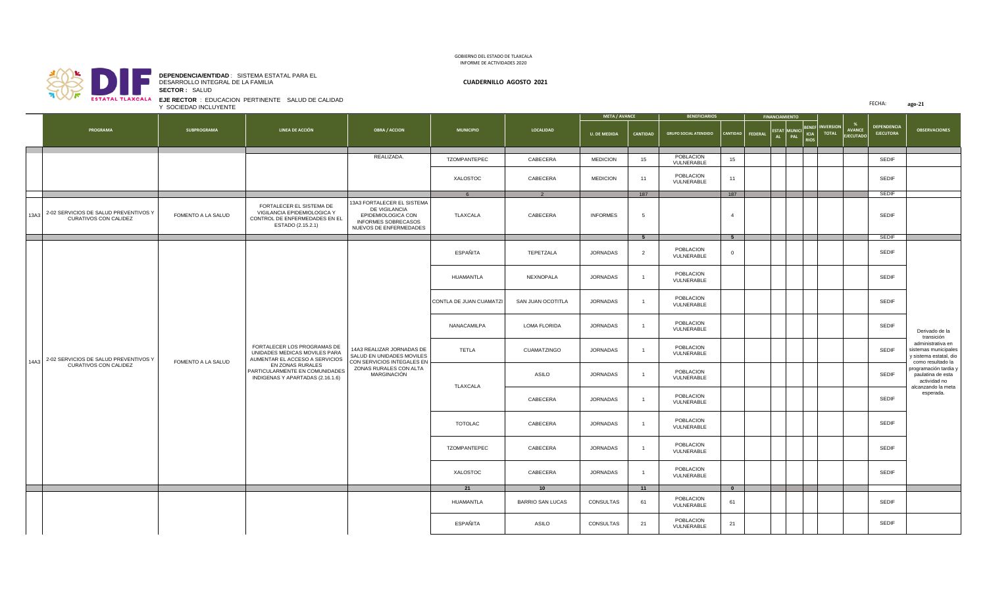

**SECTOR :** SALUD **DEPENDENCIA/ENTIDAD** : SISTEMA ESTATAL PARA EL DESARROLLO INTEGRAL DE LA FAMILIA **CUADERNILLO AGOSTO 2021**

**EJE RECTOR** : EDUCACION PERTINENTE SALUD DE CALIDAD Y SOCIEDAD INCLUYENTE

| <b>SVIRING ISRAVASA</b><br><b>EJE RECTOR: EDUCACION PERTINENTE SALUD DE CALIDAD</b><br>Y SOCIEDAD INCLUYENTE |  |                                                                     |                    |                                                                                                                                                                                          |                                                                                                                               |                         |                         |                     |                                                                       | FECHA:<br>ago-21             |                         |         |        |             |                              |                            |                                        |                                                                                          |  |  |  |  |
|--------------------------------------------------------------------------------------------------------------|--|---------------------------------------------------------------------|--------------------|------------------------------------------------------------------------------------------------------------------------------------------------------------------------------------------|-------------------------------------------------------------------------------------------------------------------------------|-------------------------|-------------------------|---------------------|-----------------------------------------------------------------------|------------------------------|-------------------------|---------|--------|-------------|------------------------------|----------------------------|----------------------------------------|------------------------------------------------------------------------------------------|--|--|--|--|
|                                                                                                              |  |                                                                     |                    |                                                                                                                                                                                          |                                                                                                                               |                         |                         |                     | <b>META / AVANCE</b><br><b>BENEFICIARIOS</b><br><b>FINANCIAMIENTO</b> |                              |                         |         |        |             |                              |                            |                                        |                                                                                          |  |  |  |  |
|                                                                                                              |  | PROGRAMA                                                            | SUBPROGRAMA        | LINEA DE ACCIÓN                                                                                                                                                                          | <b>OBRA / ACCION</b>                                                                                                          | <b>MUNICIPIO</b>        | <b>LOCALIDAD</b>        | <b>U. DE MEDIDA</b> | <b>CANTIDAD</b>                                                       | <b>GRUPO SOCIAL ATENDIDO</b> | CANTIDAD                | FEDERAL | AL PAL | <b>RIOS</b> | ESTAT MUNICI BENEF INVERSION | <b>AVANCE</b><br>EJECUTADO | <b>DEPENDENCIA</b><br><b>EJECUTORA</b> | <b>OBSERVACIONES</b>                                                                     |  |  |  |  |
|                                                                                                              |  |                                                                     |                    |                                                                                                                                                                                          | REALIZADA.                                                                                                                    | TZOMPANTEPEC            | CABECERA                | <b>MEDICION</b>     | 15                                                                    | POBLACION<br>VULNERABLE      | 15                      |         |        |             |                              |                            | SEDIF                                  |                                                                                          |  |  |  |  |
|                                                                                                              |  |                                                                     |                    |                                                                                                                                                                                          |                                                                                                                               | XALOSTOC                | CABECERA                | <b>MEDICION</b>     | 11                                                                    | POBLACION<br>VULNERABLE      | 11                      |         |        |             |                              |                            | SEDIF                                  |                                                                                          |  |  |  |  |
|                                                                                                              |  |                                                                     |                    |                                                                                                                                                                                          |                                                                                                                               | 6                       |                         |                     | 187                                                                   |                              | 187                     |         |        |             |                              |                            | <b>SEDIF</b>                           |                                                                                          |  |  |  |  |
|                                                                                                              |  | 13A3 2-02 SERVICIOS DE SALUD PREVENTIVOS Y<br>CURATIVOS CON CALIDEZ | FOMENTO A LA SALUD | FORTALECER EL SISTEMA DE<br>VIGILANCIA EPIDEMIOLOGICA Y<br>CONTROL DE ENFERMEDADES EN EL<br>ESTADO (2.15.2.1)                                                                            | 13A3 FORTALECER EL SISTEMA<br>DE VIGILANCIA<br>EPIDEMIOLOGICA CON<br>INFORMES SOBRECASOS<br>NUEVOS DE ENFERMEDADES            | TLAXCALA                | CABECERA                | <b>INFORMES</b>     | 5                                                                     |                              | $\overline{4}$          |         |        |             |                              |                            | SEDIF                                  |                                                                                          |  |  |  |  |
|                                                                                                              |  |                                                                     |                    |                                                                                                                                                                                          |                                                                                                                               |                         |                         |                     | 5 <sub>5</sub>                                                        |                              | 5 <sub>5</sub>          |         |        |             |                              |                            | <b>SEDIF</b>                           |                                                                                          |  |  |  |  |
|                                                                                                              |  | 14A3 2-02 SERVICIOS DE SALUD PREVENTIVOS Y                          |                    |                                                                                                                                                                                          | 14A3 REALIZAR JORNADAS DE<br>SALUD EN UNIDADES MOVILES<br>CON SERVICIOS INTEGALES EN<br>ZONAS RURALES CON ALTA<br>MARGINACIÓN | ESPAÑITA                | TEPETZALA               | JORNADAS            | $\overline{2}$                                                        | POBLACION<br>VULNERABLE      | $\overline{0}$          |         |        |             |                              |                            | SEDIF                                  |                                                                                          |  |  |  |  |
|                                                                                                              |  |                                                                     |                    | FORTALECER LOS PROGRAMAS DE<br>UNIDADES MEDICAS MOVILES PARA<br>AUMENTAR EL ACCESO A SERVICIOS<br>EN ZONAS RURALES<br>PARTICULARMENTE EN COMUNIDADES<br>INDIGENAS Y APARTADAS (2.16.1.6) |                                                                                                                               | HUAMANTLA               | NEXNOPALA               | <b>JORNADAS</b>     | $\overline{1}$                                                        | POBLACION<br>VULNERABLE      |                         |         |        |             |                              |                            | SEDIF                                  |                                                                                          |  |  |  |  |
|                                                                                                              |  |                                                                     |                    |                                                                                                                                                                                          |                                                                                                                               | CONTLA DE JUAN CUAMATZI | SAN JUAN OCOTITLA       | <b>JORNADAS</b>     | $\overline{1}$                                                        | POBLACION<br>VULNERABLE      |                         |         |        |             |                              |                            | <b>SEDIF</b>                           |                                                                                          |  |  |  |  |
|                                                                                                              |  |                                                                     |                    |                                                                                                                                                                                          |                                                                                                                               | NANACAMILPA             | <b>LOMA FLORIDA</b>     | <b>JORNADAS</b>     | $\overline{1}$                                                        | POBLACION<br>VULNERABLE      |                         |         |        |             |                              |                            | <b>SEDIF</b>                           | Derivado de la<br>transición                                                             |  |  |  |  |
|                                                                                                              |  |                                                                     | FOMENTO A LA SALUD |                                                                                                                                                                                          |                                                                                                                               | TETLA                   | CUAMATZINGO             | JORNADAS            | $\overline{1}$                                                        | POBLACION<br>VULNERABLE      |                         |         |        |             |                              |                            | <b>SEDIF</b>                           | administrativa en<br>sistemas municipales<br>y sistema estatal, dio<br>como resultado la |  |  |  |  |
|                                                                                                              |  | CURATIVOS CON CALIDEZ                                               |                    |                                                                                                                                                                                          |                                                                                                                               | TLAXCALA                | ASILO                   | JORNADAS            | $\overline{1}$                                                        | POBLACION<br>VULNERABLE      |                         |         |        |             |                              |                            | <b>SEDIF</b>                           | programación tardia y<br>paulatina de esta<br>actividad no                               |  |  |  |  |
|                                                                                                              |  |                                                                     |                    |                                                                                                                                                                                          |                                                                                                                               |                         | CABECERA                | <b>JORNADAS</b>     | $\overline{1}$                                                        | POBLACION<br>VULNERABLE      |                         |         |        |             |                              |                            | SEDIF                                  | alcanzando la meta<br>esperada.                                                          |  |  |  |  |
|                                                                                                              |  |                                                                     |                    |                                                                                                                                                                                          |                                                                                                                               | TOTOLAC                 | CABECERA                | JORNADAS            | $\overline{1}$                                                        | POBLACION<br>VULNERABLE      |                         |         |        |             |                              |                            | <b>SEDIF</b>                           |                                                                                          |  |  |  |  |
|                                                                                                              |  |                                                                     |                    |                                                                                                                                                                                          |                                                                                                                               | TZOMPANTEPEC            | CABECERA                | JORNADAS            | $\overline{1}$                                                        | POBLACION<br>VULNERABLE      |                         |         |        |             |                              |                            | <b>SEDIF</b>                           |                                                                                          |  |  |  |  |
|                                                                                                              |  |                                                                     |                    |                                                                                                                                                                                          |                                                                                                                               | XALOSTOC                | CABECERA                | JORNADAS            | $\overline{1}$                                                        | POBLACION<br>VULNERABLE      |                         |         |        |             |                              |                            | SEDIF                                  |                                                                                          |  |  |  |  |
|                                                                                                              |  |                                                                     |                    |                                                                                                                                                                                          |                                                                                                                               | 21                      | 10                      |                     | 11                                                                    |                              | $\overline{\mathbf{0}}$ |         |        |             |                              |                            |                                        |                                                                                          |  |  |  |  |
|                                                                                                              |  |                                                                     |                    |                                                                                                                                                                                          |                                                                                                                               | HUAMANTLA               | <b>BARRIO SAN LUCAS</b> | CONSULTAS           | 61                                                                    | POBLACION<br>VULNERABLE      | 61                      |         |        |             |                              |                            | <b>SEDIF</b>                           |                                                                                          |  |  |  |  |
|                                                                                                              |  |                                                                     |                    |                                                                                                                                                                                          |                                                                                                                               | ESPAÑITA                | ASILO                   | CONSULTAS           | 21                                                                    | POBLACION<br>VULNERABLE      | 21                      |         |        |             |                              |                            | SEDIF                                  |                                                                                          |  |  |  |  |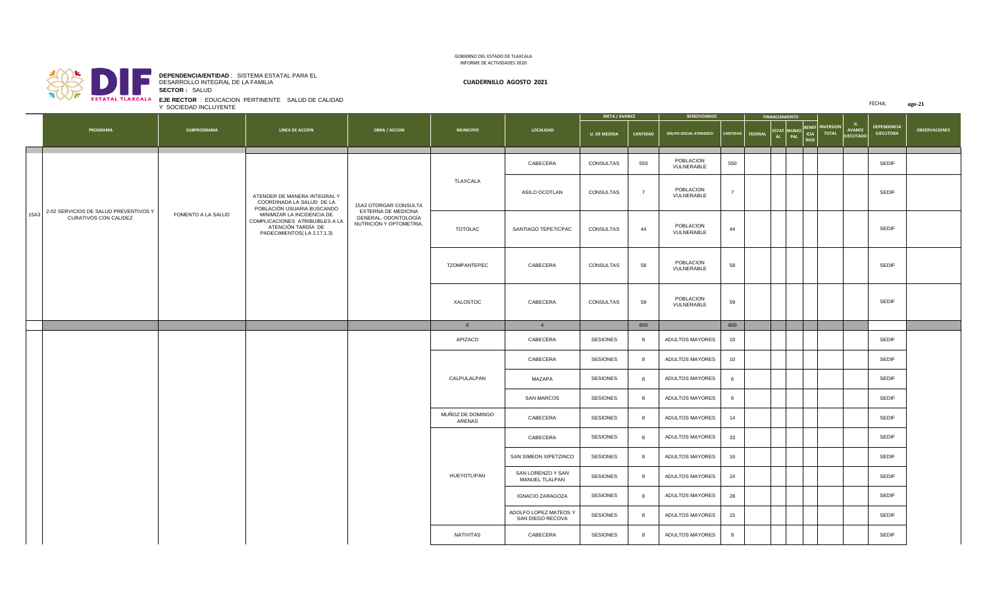

**SECTOR :** SALUD **DEPENDENCIA/ENTIDAD** : SISTEMA ESTATAL PARA EL DESARROLLO INTEGRAL DE LA FAMILIA **CUADERNILLO AGOSTO 2021**

**EJE RECTOR** : EDUCACION PERTINENTE SALUD DE CALIDAD Y SOCIEDAD INCLUYENTE

| <b>SYLMINE LEARNAST </b>                   | Y SOCIEDAD INCLUYENTE | EJE RECTOR : EDUCACION PERTINENTE SALUD DE CALIDAD                                                                |                                                                        |                            |                                           |                      |                |                                            |                |  |                       |                                        |             |  |                                   | FECHA:                          | ago-21               |
|--------------------------------------------|-----------------------|-------------------------------------------------------------------------------------------------------------------|------------------------------------------------------------------------|----------------------------|-------------------------------------------|----------------------|----------------|--------------------------------------------|----------------|--|-----------------------|----------------------------------------|-------------|--|-----------------------------------|---------------------------------|----------------------|
|                                            |                       |                                                                                                                   |                                                                        |                            |                                           | <b>META / AVANCE</b> |                | <b>BENEFICIARIOS</b>                       |                |  | <b>FINANCIAMIENTO</b> |                                        |             |  |                                   |                                 |                      |
| PROGRAMA                                   | SUBPROGRAMA           | LINEA DE ACCIÓN                                                                                                   | <b>OBRA / ACCION</b>                                                   | <b>MUNICIPIO</b>           | LOCALIDAD                                 | <b>U. DE MEDIDA</b>  | CANTIDAD       | GRUPO SOCIAL ATENDIDO   CANTIDAD   FEDERAL |                |  |                       | ESTAT MUNICI BENEF INVERSION<br>AL PAL | <b>RIOS</b> |  | <b>AVANCE</b><br><b>EJECUTADO</b> | DEPENDENCIA<br><b>EJECUTORA</b> | <b>OBSERVACIONES</b> |
|                                            |                       |                                                                                                                   |                                                                        |                            | CABECERA                                  | CONSULTAS            | 550            | POBLACION<br>VULNERABLE                    | 550            |  |                       |                                        |             |  |                                   | <b>SEDIF</b>                    |                      |
| 15A3 2-02 SERVICIOS DE SALUD PREVENTIVOS Y |                       | ATENDER DE MANERA INTEGRAL Y<br>COORDINADA LA SALUD DE LA<br>POBLACIÓN USUARIA BUSCANDO                           | 15A3 OTORGAR CONSULTA                                                  | TLAXCALA                   | ASILO OCOTLAN                             | CONSULTAS            | $\overline{7}$ | POBLACION<br>VULNERABLE                    | $\overline{7}$ |  |                       |                                        |             |  |                                   | SEDIF                           |                      |
| CURATIVOS CON CALIDEZ                      | FOMENTO A LA SALUD    | MINIMIZAR LA INCIDENCIA DE<br>COMPLICACIONES ATRIBUIBLES A LA<br>ATENCIÓN TARDÍA DE<br>PADECIMIENTOS(LA 2.17.1.3) | EXTERNA DE MEDICINA<br>GENERAL, ODONTOLOGÍA<br>NUTRICIÓN Y OPTOMETRIA. | TOTOLAC                    | SANTIAGO TEPETICPAC                       | CONSULTAS            | 44             | POBLACION<br>VULNERABLE                    | 44             |  |                       |                                        |             |  |                                   | <b>SEDIF</b>                    |                      |
|                                            |                       |                                                                                                                   |                                                                        | TZOMPANTEPEC               | CABECERA                                  | CONSULTAS            | 58             | POBLACION<br>VULNERABLE                    | 58             |  |                       |                                        |             |  |                                   | <b>SEDIF</b>                    |                      |
|                                            |                       |                                                                                                                   |                                                                        | XALOSTOC                   | CABECERA                                  | CONSULTAS            | 59             | POBLACION<br>VULNERABLE                    | 59             |  |                       |                                        |             |  |                                   | SEDIF                           |                      |
|                                            |                       |                                                                                                                   |                                                                        | $6\overline{6}$            | $\overline{4}$                            |                      | 800            |                                            | 800            |  |                       |                                        |             |  |                                   |                                 |                      |
|                                            |                       |                                                                                                                   |                                                                        | APIZACO                    | CABECERA                                  | <b>SESIONES</b>      | 8              | ADULTOS MAYORES                            | 10             |  |                       |                                        |             |  |                                   | SEDIF                           |                      |
|                                            |                       |                                                                                                                   |                                                                        |                            | CABECERA                                  | <b>SESIONES</b>      | 8              | ADULTOS MAYORES                            | 10             |  |                       |                                        |             |  |                                   | SEDIF                           |                      |
|                                            |                       |                                                                                                                   |                                                                        | CALPULALPAN                | MAZAPA                                    | SESIONES             | 8              | ADULTOS MAYORES                            | 6              |  |                       |                                        |             |  |                                   | SEDIF                           |                      |
|                                            |                       |                                                                                                                   |                                                                        |                            | <b>SAN MARCOS</b>                         | <b>SESIONES</b>      | 8              | ADULTOS MAYORES                            | 6              |  |                       |                                        |             |  |                                   | SEDIF                           |                      |
|                                            |                       |                                                                                                                   |                                                                        | MUÑOZ DE DOMINGO<br>ARENAS | CABECERA                                  | <b>SESIONES</b>      | 8              | ADULTOS MAYORES                            | 14             |  |                       |                                        |             |  |                                   | SEDIF                           |                      |
|                                            |                       |                                                                                                                   |                                                                        |                            | CABECERA                                  | <b>SESIONES</b>      | 8              | ADULTOS MAYORES                            | 33             |  |                       |                                        |             |  |                                   | SEDIF                           |                      |
|                                            |                       |                                                                                                                   |                                                                        |                            | SAN SIMEON XIPETZINCO                     | <b>SESIONES</b>      | 8              | ADULTOS MAYORES                            | 16             |  |                       |                                        |             |  |                                   | SEDIF                           |                      |
|                                            |                       |                                                                                                                   |                                                                        | HUEYOTLIPAN                | SAN LORENZO Y SAN<br>MANUEL TLALPAN       | <b>SESIONES</b>      | 8              | ADULTOS MAYORES                            | 24             |  |                       |                                        |             |  |                                   | SEDIF                           |                      |
|                                            |                       |                                                                                                                   |                                                                        |                            | <b>IGNACIO ZARAGOZA</b>                   | SESIONES             | 8              | ADULTOS MAYORES                            | 28             |  |                       |                                        |             |  |                                   | SEDIF                           |                      |
|                                            |                       |                                                                                                                   |                                                                        |                            | ADOLFO LOPEZ MATEOS Y<br>SAN DIEGO RECOVA | <b>SESIONES</b>      | 8              | ADULTOS MAYORES                            | 15             |  |                       |                                        |             |  |                                   | SEDIF                           |                      |
|                                            |                       |                                                                                                                   |                                                                        | NATIVITAS                  | CABECERA                                  | <b>SESIONES</b>      | 8              | ADULTOS MAYORES                            | 8              |  |                       |                                        |             |  |                                   | <b>SEDIF</b>                    |                      |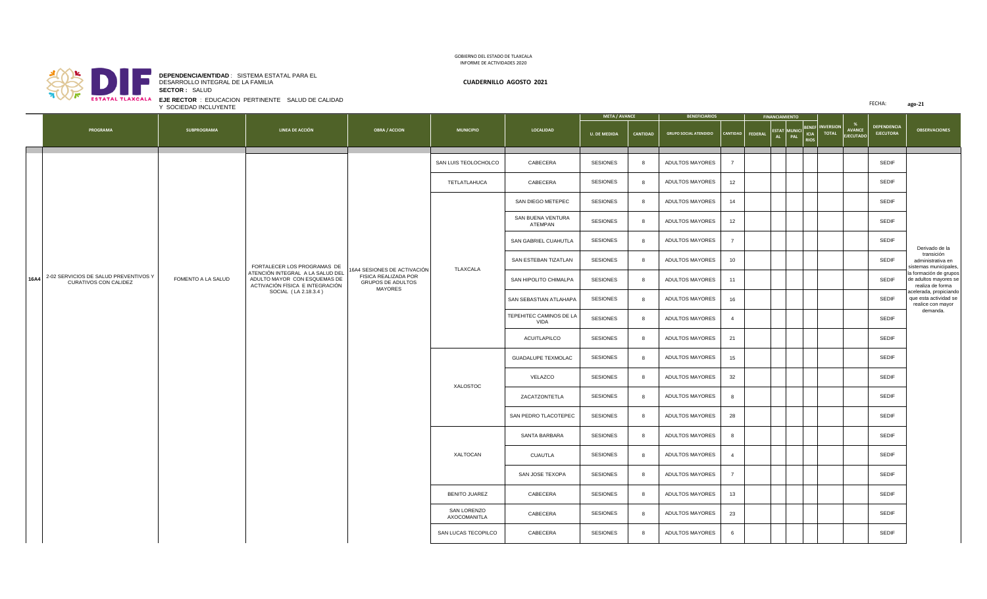

**SECTOR :** SALUD **DEPENDENCIA/ENTIDAD** : SISTEMA ESTATAL PARA EL DESARROLLO INTEGRAL DE LA FAMILIA **CUADERNILLO AGOSTO 2021**

FECHA: **ago-21 U. DE MEDIDA CANTIDAD** GRUPO SOCIAL ATENDIDO CANTIDAD **FEDERA ESTAT AL MUNICI PAL BENEF ICIA RIOS AVANCE EJECUTADO DEPENDENCIA EJECUTORA NO PROGRAMA SUBPROGRAMA LINEA DE ACCIÓN OBRA / ACCION MUNICIPIO LOCALIDAD OBSERVACIONES META / AVANCE**  $\vert$  **BENEFICIARIOS INVERSION TOTAL** Y SOCIEDAD INCLUYENTE SAN LUIS TEOLOCHOLCO CABECERA SESIONES 8 ADULTOS MAYORES 7 SEPTEMBLE SEDIF TETLATLAHUCA | CABECERA | SESIONES | 8 | ADULTOS MAYORES | 12 | | | | | | | | | SEDIF SAN DIEGO METEPEC SESIONES 8 ADULTOS MAYORES 14 SEDIF SAN BUENA VENTURA BUENA VENIUKA | SESIONES | 8 | ADULTOS MAYORES | 12 | | | | | | | | | | SEDIF<br>ATEMPAN SAN GABRIEL CUAHUTLA SESIONES 8 ADULTOS MAYORES 7 SEDIF SAN ESTEBAN TIZATLAN SESIONES 8 ADULTOS MAYORES 10 SEDIF SAN HIPOLITO CHIMALPA SESIONES 8 ADULTOS MAYORES 11 SEDIF SAN SEBASTIAN ATLAHAPA SESIONES 8 ADULTOS MAYORES 16 SEDIF TEPEHITEC CAMINOS DE LA SESIONES 8 ADULTOS MAYORES 4 SEDIF ACUITLAPILCO SESIONES 8 ADULTOS MAYORES 21 | | | | | | | | SEDIF GUADALUPE TEXMOLAC SESIONES 8 ADULTOS MAYORES 15 SEDIF VELAZCO SESIONES 8 ADULTOS MAYORES 32 | | | | | | | SEDIF ZACATZONTETLA SESIONES 8 ADULTOS MAYORES 8 SEDIF SAN PEDRO TLACOTEPEC SESIONES 8 ADULTOS MAYORES 28 SEDIF SANTA BARBARA SESIONES 8 ADULTOS MAYORES 8 SEDIF CUAUTLA SESIONES 8 ADULTOS MAYORES 4 | | | | | | SEDIF SAN JOSE TEXOPA SESIONES 8 ADULTOS MAYORES 7 | | | | | | | | | | | | SEDIF BENITO JUAREZ | CABECERA | SESIONES | 8 | ADULTOS MAYORES | 13 | | | | | | | | | SEDIF SAN LORENZO<br>AXOCOMANITLA AXOCOMANITLA CABECERA SESIONES <sup>8</sup> ADULTOS MAYORES <sup>23</sup> SEDIF SAN LUCAS TECOPILCO CABECERA SESIONES 8 ADULTOS MAYORES 6 SEPENDENT SEDIF XALTOCAN **16A4** 2-02 SERVICIOS DE SALUD PREVENTIVOS Y RVICIOS DE SALUD PREVENTIVOS Y<br>CURATIVOS CON CALIDEZ FORTALECER LOS PROGRAMAS DE ATENCIÓN INTEGRAL A LA SALUD DEL ADULTO MAYOR CON ESQUEMAS DE ACTIVACIÓN FÍSICA E INTEGRACIÓN SOCIAL ( LA 2.18.3.4 ) 16A4 SESIONES DE ACTIVACIÓN FISICA REALIZADA POR GRUPOS DE ADULTOS MAYORES Derivado de la transición administrativa en stemas municipales, la formación de grupos de adultos mayores se realiza de forma acelerada, propiciando que esta actividad se realice con mayor demanda. TLAXCALA XALOSTOC